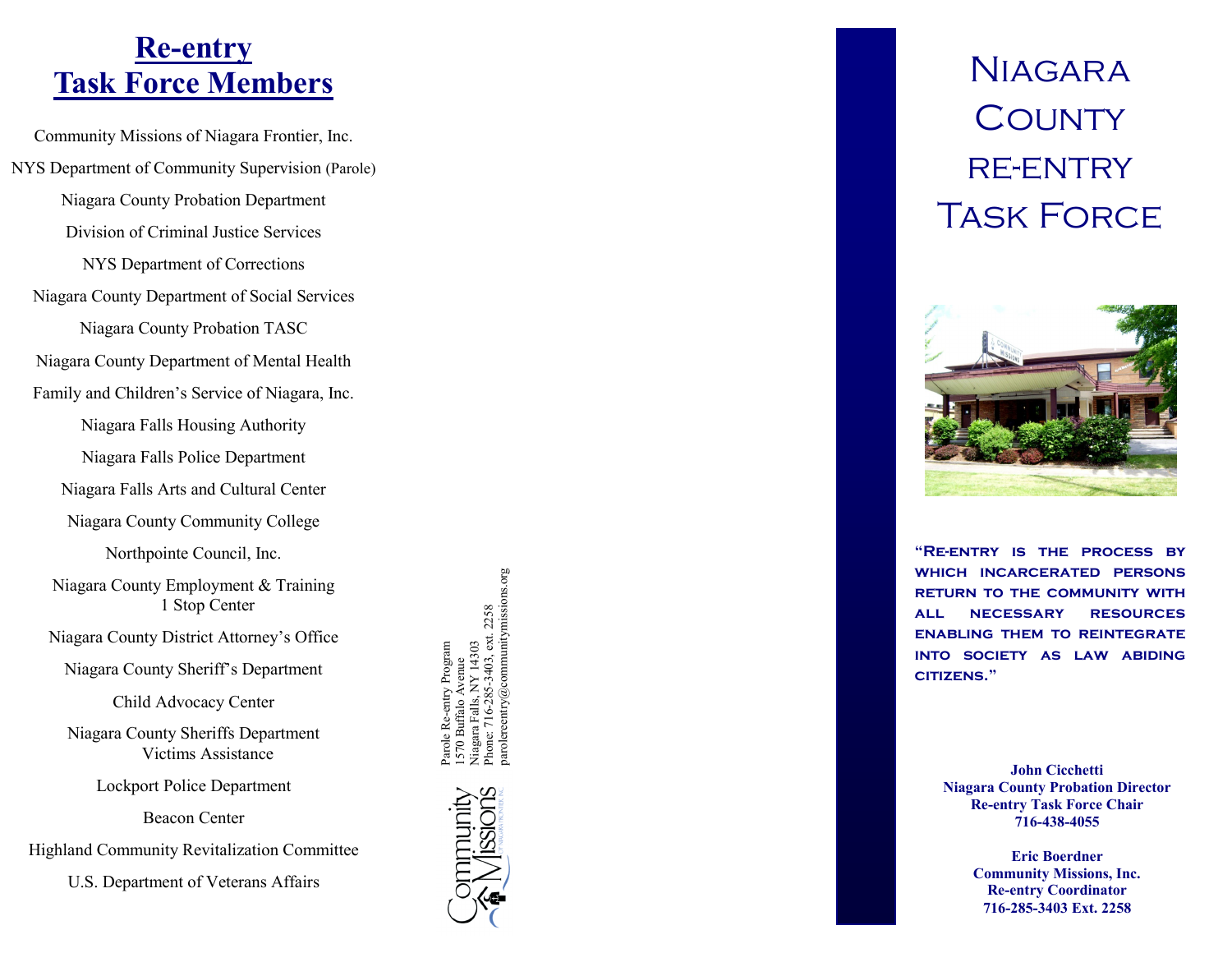### **Re -entry Task Force Members**

Community Missions of Niagara Frontier, Inc. NYS Department of Community Supervision (Parole) Niagara County Probation Department Division of Criminal Justice Services NYS Department of Corrections Niagara County Department of Social Services Niagara County Probation TASC Niagara County Department of Mental Health Family and Children's Service of Niagara, Inc. Niagara Falls Housing Authority Niagara Falls Police Department Niagara Falls Arts and Cultural Center Niagara County Community College Northpointe Council, Inc. Niagara County Employment & Training 1 Stop Center Niagara County District Attorney's Office Niagara County Sheriff's Department

Child Advocacy Center

Niagara County Sheriffs Department Victims Assistance

Lockport Police Department

Beacon Center

Highland Community Revitalization Committee

U.S. Department of Veterans Affairs

1570 Buffalo Ávenue<br>Niagara Falls, NY 14303<br>Phone: 716-285-3403, ext. 2258<br>parolereentry@communitymissions.org parolereentry@communitymissions.orgPhone: 716-285-3403, ext. 2258 Re-entry Program Parole Re-entry Program Niagara Falls, NY 14303 1570 Buffalo Avenue



# **NIAGARA COUNTY** re -entry Task Force



**"Re -entry is the process by which incarcerated persons return to the community with all necessary resources enabling them to reintegrate into society as law abiding citizens."**

> **John Cicchetti Niagara County Probation Director Re -entry Task Force Chair 716 -438 -4055**

> > **Eric Boerdner Community Missions, Inc. Re -entry Coordinator 716 -285 -3403 Ext. 2258**